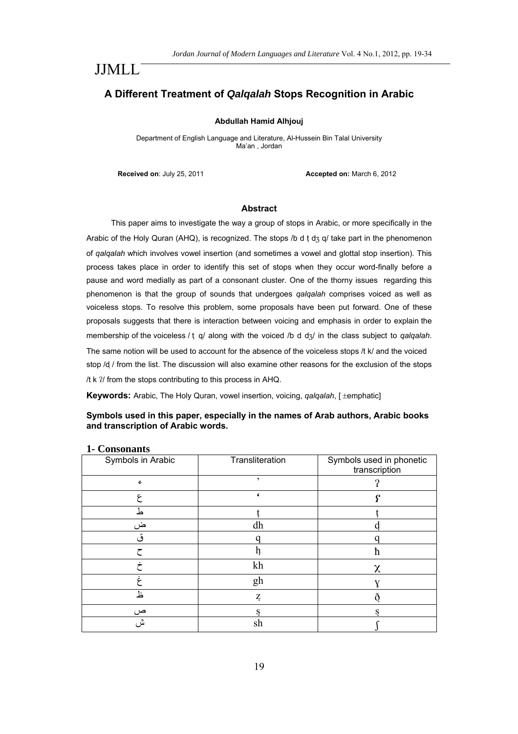# JJMLL

# **A Different Treatment of** *Qalqalah* **Stops Recognition in Arabic**

#### **Abdullah Hamid Alhjouj**

Department of English Language and Literature, Al-Hussein Bin Talal University Ma'an , Jordan

**Received on**: July 25, 2011 **Accepted on:** March 6, 2012

#### **Abstract**

This paper aims to investigate the way a group of stops in Arabic, or more specifically in the Arabic of the Holy Quran (AHQ), is recognized. The stops /b d t d<sub>3</sub> q/ take part in the phenomenon of *qalqalah* which involves vowel insertion (and sometimes a vowel and glottal stop insertion). This process takes place in order to identify this set of stops when they occur word-finally before a pause and word medially as part of a consonant cluster. One of the thorny issues regarding this phenomenon is that the group of sounds that undergoes *qalqalah* comprises voiced as well as voiceless stops. To resolve this problem, some proposals have been put forward. One of these proposals suggests that there is interaction between voicing and emphasis in order to explain the membership of the voiceless / t q/ along with the voiced /b d d<sub>3</sub>/ in the class subject to *qalqalah*. The same notion will be used to account for the absence of the voiceless stops /t k/ and the voiced

stop /d / from the list. The discussion will also examine other reasons for the exclusion of the stops / $t$  k  $2$ / from the stops contributing to this process in AHQ.

**Keywords:** Arabic, The Holy Quran, vowel insertion, voicing, *qalqalah*, [ ±emphatic]

### **Symbols used in this paper, especially in the names of Arab authors, Arabic books and transcription of Arabic words.**

| $\sim$ $\sim$ $\sim$ $\sim$ $\sim$ $\sim$ $\sim$ $\sim$<br>Symbols in Arabic | Transliteration | Symbols used in phonetic<br>transcription |
|------------------------------------------------------------------------------|-----------------|-------------------------------------------|
| ç                                                                            | $\overline{ }$  |                                           |
| ۶                                                                            |                 |                                           |
| ط                                                                            |                 |                                           |
| ض                                                                            | dh              |                                           |
|                                                                              |                 |                                           |
|                                                                              |                 | ħ                                         |
|                                                                              | kh              | χ                                         |
|                                                                              | gh              |                                           |
| ظ                                                                            | Z,              |                                           |
| ص                                                                            | s               | S                                         |
| ش                                                                            | sh              |                                           |

#### **1- Consonants**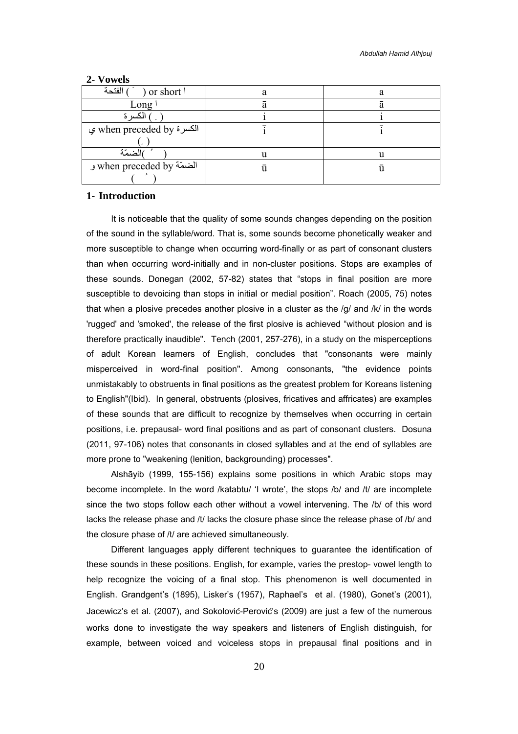| الفتحة<br>or short \    |  |
|-------------------------|--|
| Long                    |  |
| الكسر ة                 |  |
| الكسرة when preceded by |  |
|                         |  |
| مزرتمة                  |  |
| الضمّة when preceded by |  |
|                         |  |

#### **2- Vowels**

### **1- Introduction**

It is noticeable that the quality of some sounds changes depending on the position of the sound in the syllable/word. That is, some sounds become phonetically weaker and more susceptible to change when occurring word-finally or as part of consonant clusters than when occurring word-initially and in non-cluster positions. Stops are examples of these sounds. Donegan (2002, 57-82) states that "stops in final position are more susceptible to devoicing than stops in initial or medial position". Roach (2005, 75) notes that when a plosive precedes another plosive in a cluster as the /g/ and /k/ in the words 'rugged' and 'smoked', the release of the first plosive is achieved "without plosion and is therefore practically inaudible". Tench (2001, 257-276), in a study on the misperceptions of adult Korean learners of English, concludes that "consonants were mainly misperceived in word-final position''. Among consonants, "the evidence points unmistakably to obstruents in final positions as the greatest problem for Koreans listening to English"(Ibid). In general, obstruents (plosives, fricatives and affricates) are examples of these sounds that are difficult to recognize by themselves when occurring in certain positions, i.e. prepausal- word final positions and as part of consonant clusters. Dosuna (2011, 97-106) notes that consonants in closed syllables and at the end of syllables are more prone to "weakening (lenition, backgrounding) processes".

Alshāyib (1999, 155-156) explains some positions in which Arabic stops may become incomplete. In the word /katabtu/ 'I wrote', the stops /b/ and /t/ are incomplete since the two stops follow each other without a vowel intervening. The /b/ of this word lacks the release phase and /t/ lacks the closure phase since the release phase of /b/ and the closure phase of /t/ are achieved simultaneously.

Different languages apply different techniques to guarantee the identification of these sounds in these positions. English, for example, varies the prestop- vowel length to help recognize the voicing of a final stop. This phenomenon is well documented in English. Grandgent's (1895), Lisker's (1957), Raphael's et al. (1980), Gonet's (2001), Jacewicz's et al. (2007), and Sokolovic-Perovic's (2009) are just a few of the numerous works done to investigate the way speakers and listeners of English distinguish, for example, between voiced and voiceless stops in prepausal final positions and in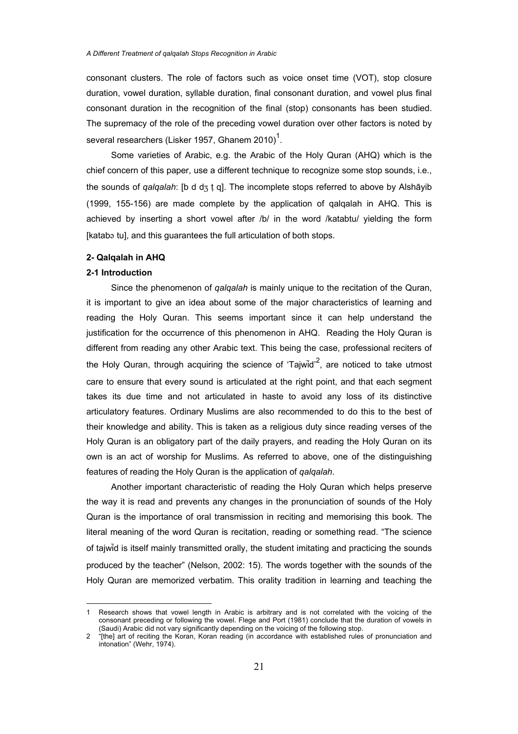consonant clusters. The role of factors such as voice onset time (VOT), stop closure duration, vowel duration, syllable duration, final consonant duration, and vowel plus final consonant duration in the recognition of the final (stop) consonants has been studied. The supremacy of the role of the preceding vowel duration over other factors is noted by several researchers (Lisker 1957, Ghanem 2010)<sup>1</sup>.

Some varieties of Arabic, e.g. the Arabic of the Holy Quran (AHQ) which is the chief concern of this paper, use a different technique to recognize some stop sounds, i.e., the sounds of *qalqalah*: [b d d<sub>3</sub> t q]. The incomplete stops referred to above by Alshāyib (1999, 155-156) are made complete by the application of qalqalah in AHQ. This is achieved by inserting a short vowel after /b/ in the word /katabtu/ yielding the form [kataba tu], and this guarantees the full articulation of both stops.

#### **2- Qalqalah in AHQ**

### **2-1 Introduction**

Since the phenomenon of *qalqalah* is mainly unique to the recitation of the Quran, it is important to give an idea about some of the major characteristics of learning and reading the Holy Quran. This seems important since it can help understand the justification for the occurrence of this phenomenon in AHQ. Reading the Holy Quran is different from reading any other Arabic text. This being the case, professional reciters of the Holy Quran, through acquiring the science of 'Tajwid'<sup>2</sup>, are noticed to take utmost care to ensure that every sound is articulated at the right point, and that each segment takes its due time and not articulated in haste to avoid any loss of its distinctive articulatory features. Ordinary Muslims are also recommended to do this to the best of their knowledge and ability. This is taken as a religious duty since reading verses of the Holy Quran is an obligatory part of the daily prayers, and reading the Holy Quran on its own is an act of worship for Muslims. As referred to above, one of the distinguishing features of reading the Holy Quran is the application of *qalqalah*.

Another important characteristic of reading the Holy Quran which helps preserve the way it is read and prevents any changes in the pronunciation of sounds of the Holy Quran is the importance of oral transmission in reciting and memorising this book. The literal meaning of the word Quran is recitation, reading or something read. "The science of tajwid is itself mainly transmitted orally, the student imitating and practicing the sounds produced by the teacher" (Nelson, 2002: 15). The words together with the sounds of the Holy Quran are memorized verbatim. This orality tradition in learning and teaching the

 $\overline{a}$ 1 Research shows that vowel length in Arabic is arbitrary and is not correlated with the voicing of the consonant preceding or following the vowel. Flege and Port (1981) conclude that the duration of vowels in (Saudi) Arabic did not vary significantly depending on the voicing of the following stop.

<sup>2 &</sup>quot;[the] art of reciting the Koran, Koran reading (in accordance with established rules of pronunciation and intonation" (Wehr, 1974).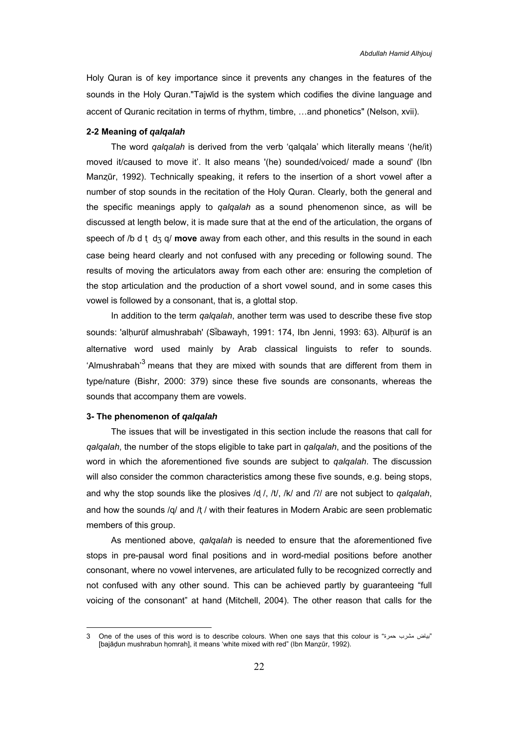Holy Quran is of key importance since it prevents any changes in the features of the sounds in the Holy Quran."Tajwid is the system which codifies the divine language and accent of Quranic recitation in terms of rhythm, timbre, …and phonetics" (Nelson, xvii).

#### **2-2 Meaning of** *qalqalah*

The word *qalqalah* is derived from the verb 'qalqala' which literally means '(he/it) moved it/caused to move it'. It also means '(he) sounded/voiced/ made a sound' (Ibn Manzūr, 1992). Technically speaking, it refers to the insertion of a short vowel after a number of stop sounds in the recitation of the Holy Quran. Clearly, both the general and the specific meanings apply to *qalqalah* as a sound phenomenon since, as will be discussed at length below, it is made sure that at the end of the articulation, the organs of speech of /b d t d<sub>3</sub> q/ **move** away from each other, and this results in the sound in each case being heard clearly and not confused with any preceding or following sound. The results of moving the articulators away from each other are: ensuring the completion of the stop articulation and the production of a short vowel sound, and in some cases this vowel is followed by a consonant, that is, a glottal stop.

In addition to the term *qalqalah*, another term was used to describe these five stop sounds: 'alhurūf almushrabah' (Sibawayh, 1991: 174, Ibn Jenni, 1993: 63). Alhurūf is an alternative word used mainly by Arab classical linguists to refer to sounds. 'Almushrabah'<sup>3</sup> means that they are mixed with sounds that are different from them in type/nature (Bishr, 2000: 379) since these five sounds are consonants, whereas the sounds that accompany them are vowels.

#### **3- The phenomenon of** *qalqalah*

 $\overline{a}$ 

The issues that will be investigated in this section include the reasons that call for *qalqalah*, the number of the stops eligible to take part in *qalqalah*, and the positions of the word in which the aforementioned five sounds are subject to *qalqalah*. The discussion will also consider the common characteristics among these five sounds, e.g. being stops, and why the stop sounds like the plosives /d /, /t/, /k/ and / $\gamma$ / are not subject to *qalqalah*, and how the sounds /q/ and /t / with their features in Modern Arabic are seen problematic members of this group.

As mentioned above, *qalqalah* is needed to ensure that the aforementioned five stops in pre-pausal word final positions and in word-medial positions before another consonant, where no vowel intervenes, are articulated fully to be recognized correctly and not confused with any other sound. This can be achieved partly by guaranteeing "full voicing of the consonant" at hand (Mitchell, 2004). The other reason that calls for the

<sup>3</sup> One of the uses of this word is to describe colours. When one says that this colour is "حمرة مشرب بياض " [bajādun mushrabun homrah], it means 'white mixed with red" (Ibn Manzūr, 1992).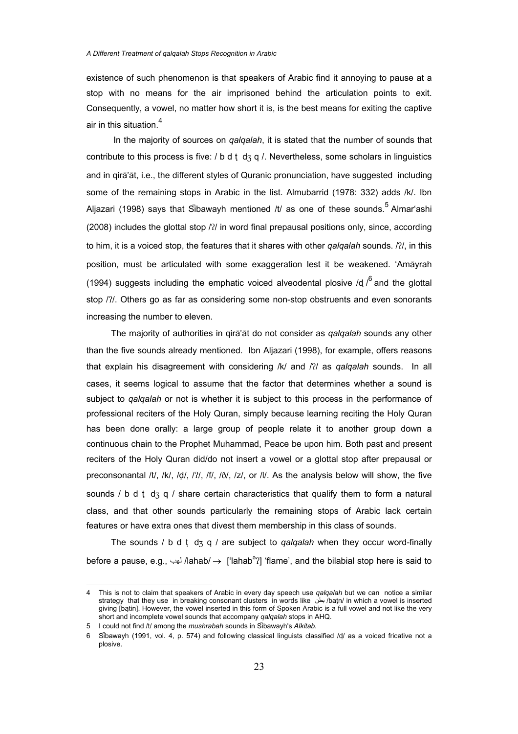existence of such phenomenon is that speakers of Arabic find it annoying to pause at a stop with no means for the air imprisoned behind the articulation points to exit. Consequently, a vowel, no matter how short it is, is the best means for exiting the captive air in this situation.<sup>4</sup>

 In the majority of sources on *qalqalah*, it is stated that the number of sounds that contribute to this process is five: / b d t d  $\frac{1}{3}$  q /. Nevertheless, some scholars in linguistics and in qira'at, i.e., the different styles of Quranic pronunciation, have suggested including some of the remaining stops in Arabic in the list. Almubarrid (1978: 332) adds /k/. Ibn Aljazari (1998) says that Sibawayh mentioned /t/ as one of these sounds.<sup>5</sup> Almar'ashi  $(2008)$  includes the glottal stop  $/$ ?/ in word final prepausal positions only, since, according to him, it is a voiced stop, the features that it shares with other *qalqalah* sounds. //, in this position, must be articulated with some exaggeration lest it be weakened. 'Amayrah (1994) suggests including the emphatic voiced alveodental plosive /d  $i^6$  and the glottal stop / $2$ /. Others go as far as considering some non-stop obstruents and even sonorants increasing the number to eleven.

The majority of authorities in qira'at do not consider as *qalqalah* sounds any other than the five sounds already mentioned. Ibn Aljazari (1998), for example, offers reasons that explain his disagreement with considering /k/ and /?/ as *qalqalah* sounds. In all cases, it seems logical to assume that the factor that determines whether a sound is subject to *qalqalah* or not is whether it is subject to this process in the performance of professional reciters of the Holy Quran, simply because learning reciting the Holy Quran has been done orally: a large group of people relate it to another group down a continuous chain to the Prophet Muhammad, Peace be upon him. Both past and present reciters of the Holy Quran did/do not insert a vowel or a glottal stop after prepausal or preconsonantal /t/, /k/, /d/, /?/, /f/, / $\delta$ /, /z/, or /l/. As the analysis below will show, the five sounds / b d t  $\text{d}_3$  q / share certain characteristics that qualify them to form a natural class, and that other sounds particularly the remaining stops of Arabic lack certain features or have extra ones that divest them membership in this class of sounds.

The sounds / b d t d<sub>3</sub> q / are subject to *qalqalah* when they occur word-finally before a pause, e.g., لهب /lahab/ → ['lahab<sup>a</sup>?] 'flame', and the bilabial stop here is said to

<sup>4</sup> This is not to claim that speakers of Arabic in every day speech use *qalqalah* but we can notice a similar strategy that they use in breaking consonant clusters in words like بطن /batn/ in which a vowel is inserted giving [batin]. However, the vowel inserted in this form of Spoken Arabic is a full vowel and not like the very short and incomplete vowel sounds that accompany *qalqalah* stops in AHQ.

<sup>5</sup> I could not find /t/ among the *mushrabah* sounds in Sibawayh's *Alkitab.*

<sup>6</sup> Sibawayh (1991, vol. 4, p. 574) and following classical linguists classified /d/ as a voiced fricative not a plosive.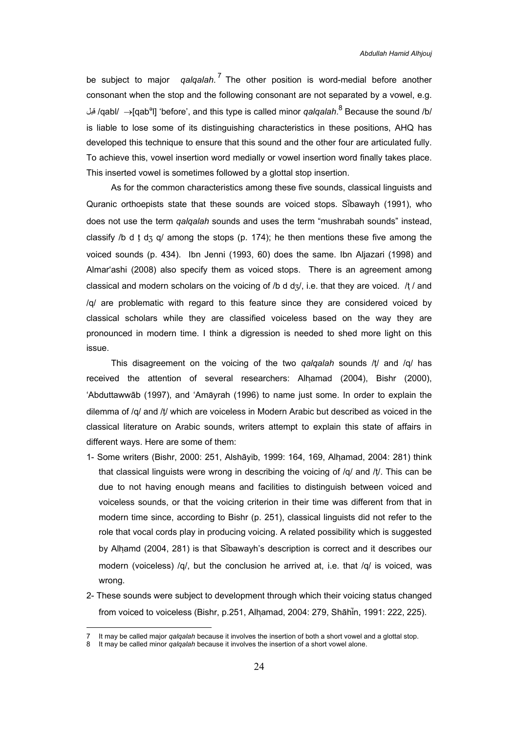be subject to major *qalqalah*. 7 The other position is word-medial before another consonant when the stop and the following consonant are not separated by a vowel, e.g. قبل /qabl/ →[qab<sup>ə</sup>l] 'before', and this type is called minor *qalqalah*.<sup>8</sup> Because the sound /b/ is liable to lose some of its distinguishing characteristics in these positions, AHQ has developed this technique to ensure that this sound and the other four are articulated fully. To achieve this, vowel insertion word medially or vowel insertion word finally takes place. This inserted vowel is sometimes followed by a glottal stop insertion.

As for the common characteristics among these five sounds, classical linguists and Quranic orthoepists state that these sounds are voiced stops. Sibawayh (1991), who does not use the term *qalqalah* sounds and uses the term "mushrabah sounds" instead, classify /b d t d<sub>3</sub> q/ among the stops (p. 174); he then mentions these five among the voiced sounds (p. 434). Ibn Jenni (1993, 60) does the same. Ibn Aljazari (1998) and Almar'ashi (2008) also specify them as voiced stops. There is an agreement among classical and modern scholars on the voicing of /b d  $d\alpha$ , i.e. that they are voiced. /t / and /q/ are problematic with regard to this feature since they are considered voiced by classical scholars while they are classified voiceless based on the way they are pronounced in modern time. I think a digression is needed to shed more light on this issue.

This disagreement on the voicing of the two *qalqalah* sounds /t/ and /q/ has received the attention of several researchers: Alhamad (2004), Bishr (2000), 'Abduttawwāb (1997), and 'Amayrah (1996) to name just some. In order to explain the dilemma of /q/ and /t/ which are voiceless in Modern Arabic but described as voiced in the classical literature on Arabic sounds, writers attempt to explain this state of affairs in different ways. Here are some of them:

- 1- Some writers (Bishr, 2000: 251, Alshāyib, 1999: 164, 169, Alhamad, 2004: 281) think that classical linguists were wrong in describing the voicing of  $/q$  and  $/t$ . This can be due to not having enough means and facilities to distinguish between voiced and voiceless sounds, or that the voicing criterion in their time was different from that in modern time since, according to Bishr (p. 251), classical linguists did not refer to the role that vocal cords play in producing voicing. A related possibility which is suggested by Alhamd (2004, 281) is that Sibawayh's description is correct and it describes our modern (voiceless) /q/, but the conclusion he arrived at, i.e. that /q/ is voiced, was wrong.
- 2- These sounds were subject to development through which their voicing status changed from voiced to voiceless (Bishr, p.251, Alhamad, 2004: 279, Shāhin, 1991: 222, 225).

<sup>7</sup> It may be called major *qalqalah* because it involves the insertion of both a short vowel and a glottal stop.

<sup>8</sup> It may be called minor *qalqalah* because it involves the insertion of a short vowel alone.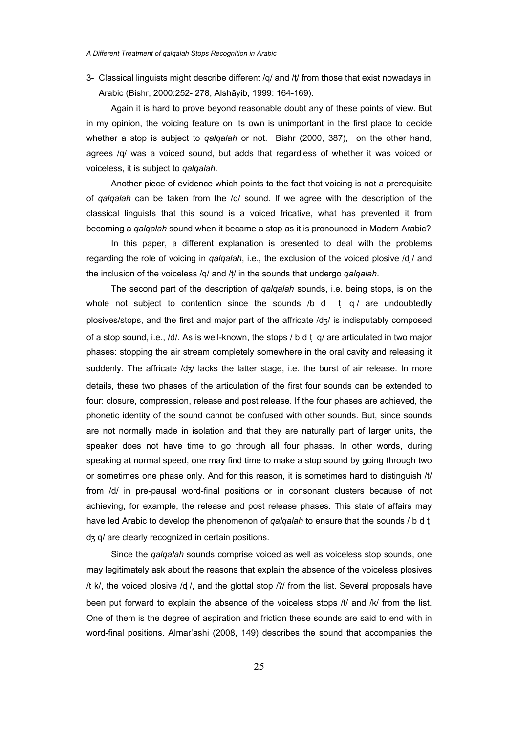3- Classical linguists might describe different /q/ and /t/ from those that exist nowadays in Arabic (Bishr, 2000:252- 278, Alshāyib, 1999: 164-169).

Again it is hard to prove beyond reasonable doubt any of these points of view. But in my opinion, the voicing feature on its own is unimportant in the first place to decide whether a stop is subject to *qalqalah* or not. Bishr (2000, 387), on the other hand, agrees /q/ was a voiced sound, but adds that regardless of whether it was voiced or voiceless, it is subject to *qalqalah*.

Another piece of evidence which points to the fact that voicing is not a prerequisite of *qalqalah* can be taken from the /d/ sound. If we agree with the description of the classical linguists that this sound is a voiced fricative, what has prevented it from becoming a *qalqalah* sound when it became a stop as it is pronounced in Modern Arabic?

In this paper, a different explanation is presented to deal with the problems regarding the role of voicing in *qalqalah*, i.e., the exclusion of the voiced plosive /d ̣/ and the inclusion of the voiceless /q/ and /t/ in the sounds that undergo *qalqalah*.

The second part of the description of *qalqalah* sounds, i.e. being stops, is on the whole not subject to contention since the sounds  $/b$  d t  $q /$  are undoubtedly plosives/stops, and the first and major part of the affricate  $/d\alpha$  is indisputably composed of a stop sound, i.e., /d/. As is well-known, the stops / b d t q/ are articulated in two major phases: stopping the air stream completely somewhere in the oral cavity and releasing it suddenly. The affricate  $\frac{d}{3}$  lacks the latter stage, i.e. the burst of air release. In more details, these two phases of the articulation of the first four sounds can be extended to four: closure, compression, release and post release. If the four phases are achieved, the phonetic identity of the sound cannot be confused with other sounds. But, since sounds are not normally made in isolation and that they are naturally part of larger units, the speaker does not have time to go through all four phases. In other words, during speaking at normal speed, one may find time to make a stop sound by going through two or sometimes one phase only. And for this reason, it is sometimes hard to distinguish /t/ from /d/ in pre-pausal word-final positions or in consonant clusters because of not achieving, for example, the release and post release phases. This state of affairs may have led Arabic to develop the phenomenon of *qalqalah* to ensure that the sounds / b d t ̣  $d_3$  q/ are clearly recognized in certain positions.

Since the *qalqalah* sounds comprise voiced as well as voiceless stop sounds, one may legitimately ask about the reasons that explain the absence of the voiceless plosives /t k/, the voiced plosive /d  $/$ , and the glottal stop  $/2/$  from the list. Several proposals have been put forward to explain the absence of the voiceless stops /t/ and /k/ from the list. One of them is the degree of aspiration and friction these sounds are said to end with in word-final positions. Almar'ashi (2008, 149) describes the sound that accompanies the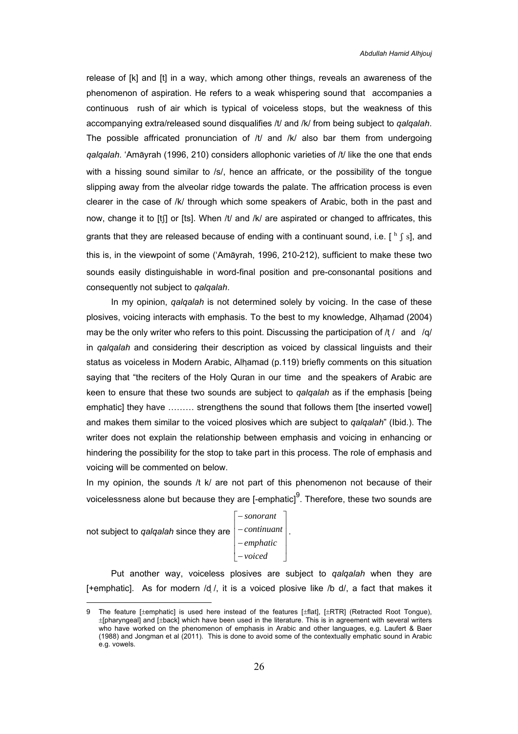release of [k] and [t] in a way, which among other things, reveals an awareness of the phenomenon of aspiration. He refers to a weak whispering sound that accompanies a continuous rush of air which is typical of voiceless stops, but the weakness of this accompanying extra/released sound disqualifies /t/ and /k/ from being subject to *qalqalah*. The possible affricated pronunciation of  $/t/$  and  $/k/$  also bar them from undergoing *qalqalah*. 'Amayrah (1996, 210) considers allophonic varieties of /t/ like the one that ends with a hissing sound similar to /s/, hence an affricate, or the possibility of the tongue slipping away from the alveolar ridge towards the palate. The affrication process is even clearer in the case of /k/ through which some speakers of Arabic, both in the past and now, change it to [t[] or [ts]. When /t/ and /k/ are aspirated or changed to affricates, this grants that they are released because of ending with a continuant sound, i.e.  $\lceil \frac{h}{s} \rceil$ , and this is, in the viewpoint of some ('Amayrah, 1996, 210-212), sufficient to make these two sounds easily distinguishable in word-final position and pre-consonantal positions and consequently not subject to *qalqalah*.

In my opinion, *qalqalah* is not determined solely by voicing. In the case of these plosives, voicing interacts with emphasis. To the best to my knowledge, Alhamad (2004) may be the only writer who refers to this point. Discussing the participation of  $/t /$  and  $/q/$ in *qalqalah* and considering their description as voiced by classical linguists and their status as voiceless in Modern Arabic, Alhamad (p.119) briefly comments on this situation saying that "the reciters of the Holy Quran in our time and the speakers of Arabic are keen to ensure that these two sounds are subject to *qalqalah* as if the emphasis [being emphatic] they have ……… strengthens the sound that follows them [the inserted vowel] and makes them similar to the voiced plosives which are subject to *qalqalah*" (Ibid.). The writer does not explain the relationship between emphasis and voicing in enhancing or hindering the possibility for the stop to take part in this process. The role of emphasis and voicing will be commented on below.

In my opinion, the sounds  $/t$  k/ are not part of this phenomenon not because of their voicelessness alone but because they are [-emphatic] $9$ . Therefore, these two sounds are

not subject to *qalqalah* since they are  $|$   $^{continuant}$   $|$ 

 $\overline{a}$ 

 $\overline{\phantom{a}}$  $\overline{\phantom{a}}$  $\overline{\mathcal{L}}$ ⎦  $\overline{\phantom{a}}$  $\parallel$ ⎢ − *emphatic*  $\|$  $\vert$  – *continuant*  $\vert$ . ⎣  $\mathsf{L}$ − *voiced* − *sonorant*

Put another way, voiceless plosives are subject to *qalqalah* when they are [+emphatic]. As for modern /d /, it is a voiced plosive like /b d/, a fact that makes it

<sup>9</sup> The feature [±emphatic] is used here instead of the features [±flat], [±RTR] (Retracted Root Tongue), ±[pharyngeal] and [±back] which have been used in the literature. This is in agreement with several writers who have worked on the phenomenon of emphasis in Arabic and other languages, e.g. Laufert & Baer (1988) and Jongman et al (2011). This is done to avoid some of the contextually emphatic sound in Arabic e.g. vowels.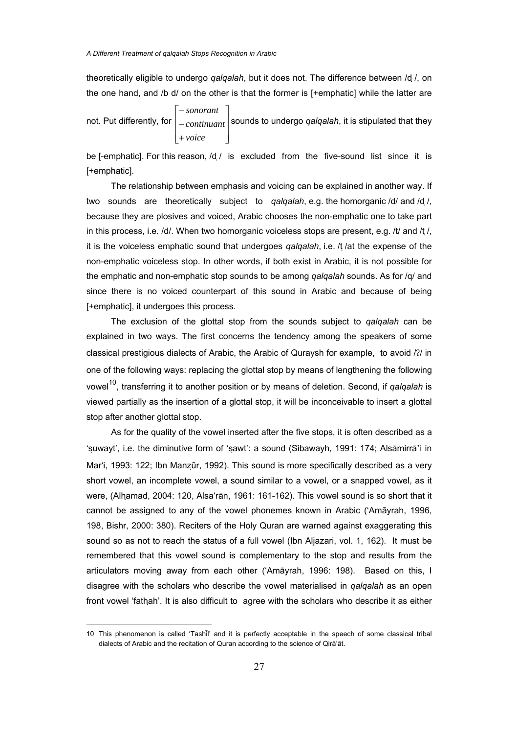theoretically eligible to undergo *qalqalah*, but it does not. The difference between /d ̣/, on the one hand, and /b d/ on the other is that the former is [+emphatic] while the latter are

not. Put differently, for  $\big|-continuant\big|$  $\overline{\phantom{a}}$  $\overline{\phantom{a}}$ ⎦ ⎤ ⎢ ⎣ + *voice*  $\mathsf{I}$  $\vert$   $\vert$   $\vert$   $\vert$   $\vert$   $\vert$  sounds to undergo *qalqalah*, it is stipulated that they ⎡ − *sonorant*

be [-emphatic]. For this reason,  $/d /$  is excluded from the five-sound list since it is [+emphatic].

The relationship between emphasis and voicing can be explained in another way. If two sounds are theoretically subject to *qalqalah*, e.g. the homorganic /d/ and /d ̣/, because they are plosives and voiced, Arabic chooses the non-emphatic one to take part in this process, i.e.  $/d$ . When two homorganic voiceless stops are present, e.g.  $/t$  and  $/t$ , it is the voiceless emphatic sound that undergoes *qalqalah*, i.e. /t /at the expense of the non-emphatic voiceless stop. In other words, if both exist in Arabic, it is not possible for the emphatic and non-emphatic stop sounds to be among *qalqalah* sounds. As for /q/ and since there is no voiced counterpart of this sound in Arabic and because of being [+emphatic], it undergoes this process.

The exclusion of the glottal stop from the sounds subject to *qalqalah* can be explained in two ways. The first concerns the tendency among the speakers of some classical prestigious dialects of Arabic, the Arabic of Quraysh for example, to avoid /?/ in one of the following ways: replacing the glottal stop by means of lengthening the following vowel<sup>10</sup>, transferring it to another position or by means of deletion. Second, if *qalqalah* is viewed partially as the insertion of a glottal stop, it will be inconceivable to insert a glottal stop after another glottal stop.

As for the quality of the vowel inserted after the five stops, it is often described as a 'suwayt', i.e. the diminutive form of 'sawt': a sound (Sibawayh, 1991: 174; Alsamirra'i in Mar'i, 1993: 122; Ibn Manzūr, 1992). This sound is more specifically described as a very short vowel, an incomplete vowel, a sound similar to a vowel, or a snapped vowel, as it were, (Alhamad, 2004: 120, Alsa'rān, 1961: 161-162). This vowel sound is so short that it cannot be assigned to any of the vowel phonemes known in Arabic ('Amāyrah, 1996, 198, Bishr, 2000: 380). Reciters of the Holy Quran are warned against exaggerating this sound so as not to reach the status of a full vowel (Ibn Aljazari, vol. 1, 162). It must be remembered that this vowel sound is complementary to the stop and results from the articulators moving away from each other ('Amāyrah, 1996: 198). Based on this, I disagree with the scholars who describe the vowel materialised in *qalqalah* as an open front vowel 'fathah'. It is also difficult to agree with the scholars who describe it as either

<sup>10</sup> This phenomenon is called 'Tashil' and it is perfectly acceptable in the speech of some classical tribal dialects of Arabic and the recitation of Quran according to the science of Qira'at.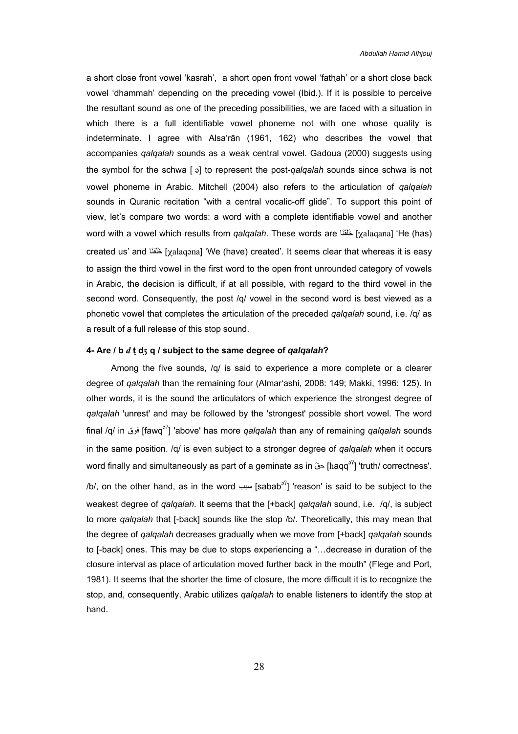a short close front vowel 'kasrah', a short open front vowel 'fathah' or a short close back vowel 'dhammah' depending on the preceding vowel (Ibid.). If it is possible to perceive the resultant sound as one of the preceding possibilities, we are faced with a situation in which there is a full identifiable vowel phoneme not with one whose quality is indeterminate. I agree with Alsa'rān (1961, 162) who describes the vowel that accompanies *qalqalah* sounds as a weak central vowel. Gadoua (2000) suggests using the symbol for the schwa [a] to represent the post-*qalqalah* sounds since schwa is not vowel phoneme in Arabic. Mitchell (2004) also refers to the articulation of *qalqalah* sounds in Quranic recitation "with a central vocalic-off glide". To support this point of view, let's compare two words: a word with a complete identifiable vowel and another word with a vowel which results from *qalqalah*. These words are اَنَّقَنَا [xalaqana] 'He (has) created us' and الَّذَ [xalaqona] 'We (have) created'. It seems clear that whereas it is easy to assign the third vowel in the first word to the open front unrounded category of vowels in Arabic, the decision is difficult, if at all possible, with regard to the third vowel in the second word. Consequently, the post /q/ vowel in the second word is best viewed as a phonetic vowel that completes the articulation of the preceded *qalqalah* sound, i.e. /q/ as a result of a full release of this stop sound.

#### **4- Are / b** *d* **t ̣d q / subject to the same degree of** *qalqalah***?**

Among the five sounds,  $/q$  is said to experience a more complete or a clearer degree of *qalqalah* than the remaining four (Almar'ashi, 2008: 149; Makki, 1996: 125). In other words, it is the sound the articulators of which experience the strongest degree of *qalqalah* 'unrest' and may be followed by the 'strongest' possible short vowel. The word final /q/ in فوق] fawq] 'above' has more *qalqalah* than any of remaining *qalqalah* sounds in the same position. /q/ is even subject to a stronger degree of *qalqalah* when it occurs word finally and simultaneously as part of a geminate as in حقّ [hagg<sup>3</sup>] 'truth/ correctness'. /b/, on the other hand, as in the word  $\lim_{n \to \infty}$  [sabab<sup>32</sup>] 'reason' is said to be subject to the weakest degree of *qalqalah*. It seems that the [+back] *qalqalah* sound, i.e. /q/, is subject to more *qalqalah* that [-back] sounds like the stop /b/. Theoretically, this may mean that the degree of *qalqalah* decreases gradually when we move from [+back] *qalqalah* sounds to [-back] ones. This may be due to stops experiencing a "…decrease in duration of the closure interval as place of articulation moved further back in the mouth" (Flege and Port, 1981). It seems that the shorter the time of closure, the more difficult it is to recognize the stop, and, consequently, Arabic utilizes *qalqalah* to enable listeners to identify the stop at hand.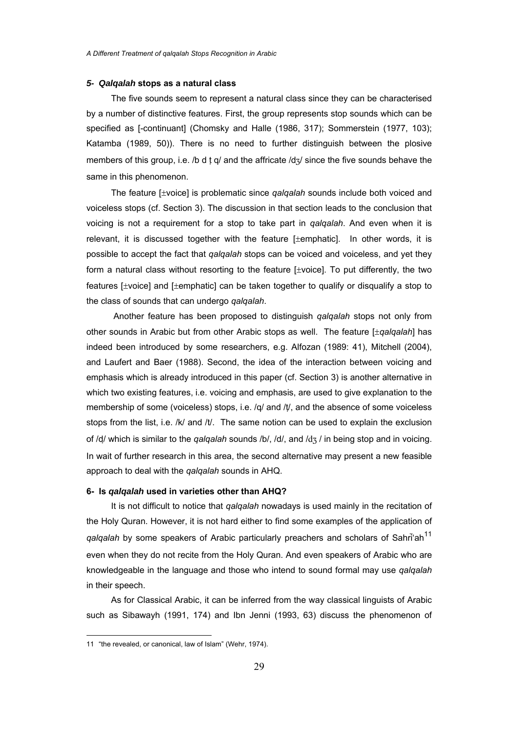#### *5- Qalqalah* **stops as a natural class**

The five sounds seem to represent a natural class since they can be characterised by a number of distinctive features. First, the group represents stop sounds which can be specified as [-continuant] (Chomsky and Halle (1986, 317); Sommerstein (1977, 103); Katamba (1989, 50)). There is no need to further distinguish between the plosive members of this group, i.e. /b d t g/ and the affricate /d $\alpha$ / since the five sounds behave the same in this phenomenon.

The feature [±voice] is problematic since *qalqalah* sounds include both voiced and voiceless stops (cf. Section 3). The discussion in that section leads to the conclusion that voicing is not a requirement for a stop to take part in *qalqalah*. And even when it is relevant, it is discussed together with the feature [±emphatic]. In other words, it is possible to accept the fact that *qalqalah* stops can be voiced and voiceless, and yet they form a natural class without resorting to the feature [±voice]. To put differently, the two features [±voice] and [±emphatic] can be taken together to qualify or disqualify a stop to the class of sounds that can undergo *qalqalah*.

 Another feature has been proposed to distinguish *qalqalah* stops not only from other sounds in Arabic but from other Arabic stops as well. The feature [±*qalqalah*] has indeed been introduced by some researchers, e.g. Alfozan (1989: 41), Mitchell (2004), and Laufert and Baer (1988). Second, the idea of the interaction between voicing and emphasis which is already introduced in this paper (cf. Section 3) is another alternative in which two existing features, i.e. voicing and emphasis, are used to give explanation to the membership of some (voiceless) stops, i.e. /q/ and /t/, and the absence of some voiceless stops from the list, i.e. /k/ and /t/. The same notion can be used to explain the exclusion of /d/ which is similar to the *qalqalah* sounds /b/, /d/, and /d3 / in being stop and in voicing. In wait of further research in this area, the second alternative may present a new feasible approach to deal with the *qalqalah* sounds in AHQ.

#### **6- Is** *qalqalah* **used in varieties other than AHQ?**

It is not difficult to notice that *qalqalah* nowadays is used mainly in the recitation of the Holy Quran. However, it is not hard either to find some examples of the application of *qalqalah* by some speakers of Arabic particularly preachers and scholars of Sahri'ah<sup>11</sup> even when they do not recite from the Holy Quran. And even speakers of Arabic who are knowledgeable in the language and those who intend to sound formal may use *qalqalah* in their speech.

As for Classical Arabic, it can be inferred from the way classical linguists of Arabic such as Sibawayh (1991, 174) and Ibn Jenni (1993, 63) discuss the phenomenon of

<sup>11 &</sup>quot;the revealed, or canonical, law of Islam" (Wehr, 1974).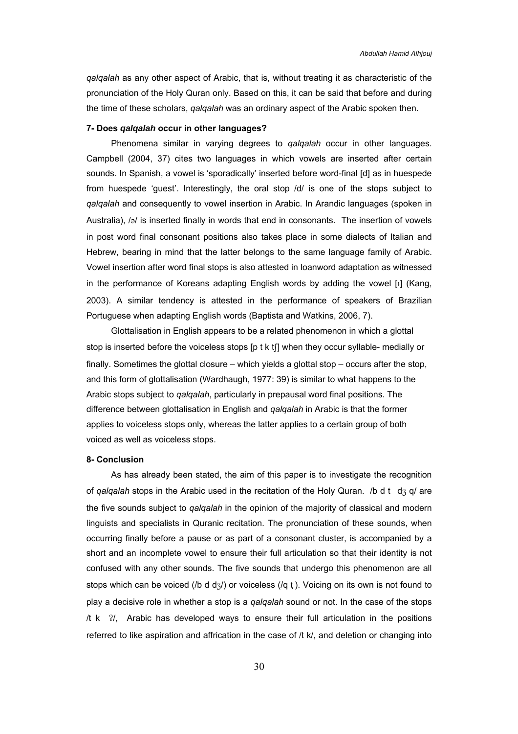*qalqalah* as any other aspect of Arabic, that is, without treating it as characteristic of the pronunciation of the Holy Quran only. Based on this, it can be said that before and during the time of these scholars, *qalqalah* was an ordinary aspect of the Arabic spoken then.

## **7- Does** *qalqalah* **occur in other languages?**

Phenomena similar in varying degrees to *qalqalah* occur in other languages. Campbell (2004, 37) cites two languages in which vowels are inserted after certain sounds. In Spanish, a vowel is 'sporadically' inserted before word-final [d] as in huespede from huespede 'guest'. Interestingly, the oral stop /d/ is one of the stops subject to *qalqalah* and consequently to vowel insertion in Arabic. In Arandic languages (spoken in Australia), /a/ is inserted finally in words that end in consonants. The insertion of vowels in post word final consonant positions also takes place in some dialects of Italian and Hebrew, bearing in mind that the latter belongs to the same language family of Arabic. Vowel insertion after word final stops is also attested in loanword adaptation as witnessed in the performance of Koreans adapting English words by adding the vowel  $[i]$  (Kang, 2003). A similar tendency is attested in the performance of speakers of Brazilian Portuguese when adapting English words (Baptista and Watkins, 2006, 7).

Glottalisation in English appears to be a related phenomenon in which a glottal stop is inserted before the voiceless stops [p t k t[] when they occur syllable- medially or finally. Sometimes the glottal closure – which yields a glottal stop – occurs after the stop, and this form of glottalisation (Wardhaugh, 1977: 39) is similar to what happens to the Arabic stops subject to *qalqalah*, particularly in prepausal word final positions. The difference between glottalisation in English and *qalqalah* in Arabic is that the former applies to voiceless stops only, whereas the latter applies to a certain group of both voiced as well as voiceless stops.

#### **8- Conclusion**

As has already been stated, the aim of this paper is to investigate the recognition of *qalqalah* stops in the Arabic used in the recitation of the Holy Quran. /b d t d<sub>3</sub> q/ are the five sounds subject to *qalqalah* in the opinion of the majority of classical and modern linguists and specialists in Quranic recitation. The pronunciation of these sounds, when occurring finally before a pause or as part of a consonant cluster, is accompanied by a short and an incomplete vowel to ensure their full articulation so that their identity is not confused with any other sounds. The five sounds that undergo this phenomenon are all stops which can be voiced (/b d d $\frac{1}{2}$ ) or voiceless (/q t ). Voicing on its own is not found to play a decisive role in whether a stop is a *qalqalah* sound or not. In the case of the stops  $/t$  k  $\frac{2}{1}$ . Arabic has developed ways to ensure their full articulation in the positions referred to like aspiration and affrication in the case of /t k/, and deletion or changing into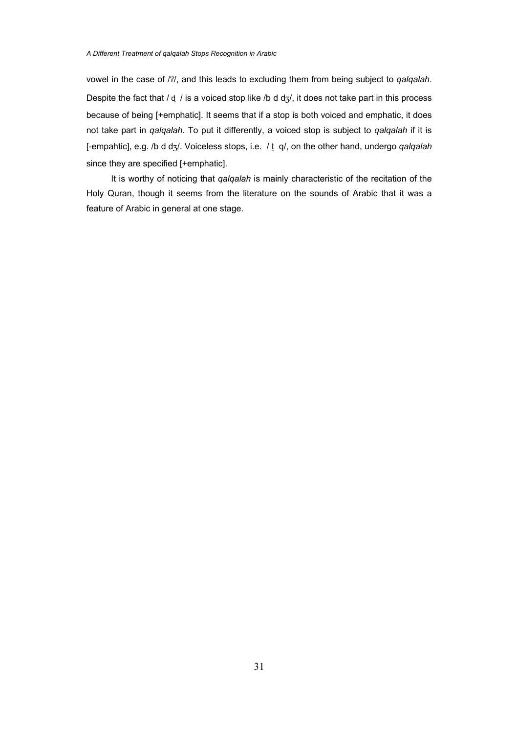vowel in the case of /2/, and this leads to excluding them from being subject to *qalqalah*. Despite the fact that  $/ d / i s a$  voiced stop like  $/ b d d z / i t d$  des not take part in this process because of being [+emphatic]. It seems that if a stop is both voiced and emphatic, it does not take part in *qalqalah*. To put it differently, a voiced stop is subject to *qalqalah* if it is [-empahtic], e.g. /b d d<sub>3</sub>/. Voiceless stops, i.e. / t q/, on the other hand, undergo *qalqalah* since they are specified [+emphatic].

It is worthy of noticing that *qalqalah* is mainly characteristic of the recitation of the Holy Quran, though it seems from the literature on the sounds of Arabic that it was a feature of Arabic in general at one stage.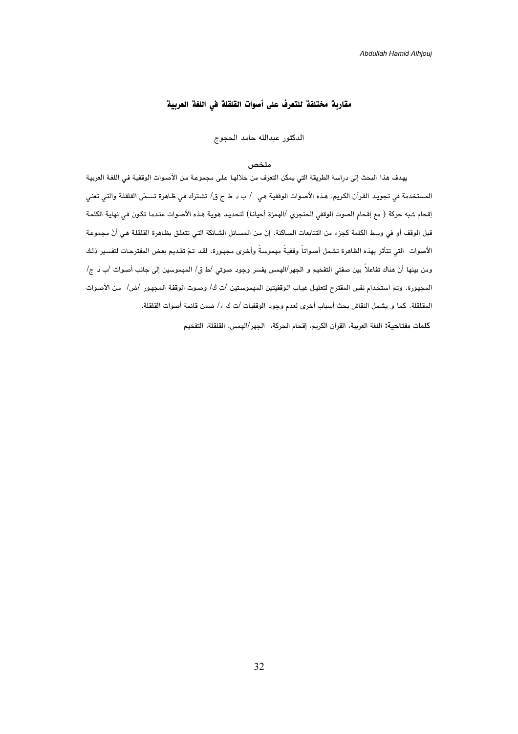# مقاربة مختلفة للتعرف على أصوات القلقلة في اللغة العربية

الدكتور عبدالله حامد الحجوج

# **ملخص**

يهدف هذا البحث إلى دراسة الطريقة التي يمكن التعرف من خلالهـا علـى مجموعـة مـن الأصـوات الوقفيـة فـي اللغـة العربيـة المستخدمة في تجويـد القـرآن الكـريم. هـذه الأصـوات الوقفيـة هـي / ب د ط ج ق/ تشـترك فـي ظـاهرة تسـمى القلقلـة والتـي تعنـي إقحام شبه حركة ( مع إقحام الصوت الوقفي الحنجري /الهمزة أحيانـا) لتحديـد هويـة هـذه الأصـوات عنـدما تكـون فـي نهايـة الكلمـة قبل الوقف أو في وسط الكلمة كجزء من التتابعات السـاكنة. إن مـن المسـائل الشـائكة التـي تتعلـق بظـاهرة القلقلـة هـي أن مجموعـة الأصوات التي تتأثر بهذه الظاهرة تشمل أصـواتاً وقفيـةً مهموسـةً وأخـرى مجهـورة. لقـد تـم تقـديم بعـض المقترحـات لتفسـير ذلـك ومن بينها أن هناك تفاعلاً بين صفتي التفخيم و الجهر/الهمس يفسر وجود صوتي /ط ق/ المهموسين إلى جانب أصـوات /ب د ج/ المجهورة. وتم استخدام نفس المقترح لتعليـل غيـاب الـوقفيتين المهموسـتين /ت ك/ وصـوت الوقفـة المجهـور /ض/ مـن الأصـوات المقلقلة. كما و يشمل النقاش بحث أسباب أخرى لعدم وجود الوقفيات /ت ك ء/ ضمن قائمة أصوات القلقلة. **كلمات مفتاحية:** اللغة العربية، القرآن الكريم، إقحام الحركة، الجهر/الهمس، القلقلة، التفخيم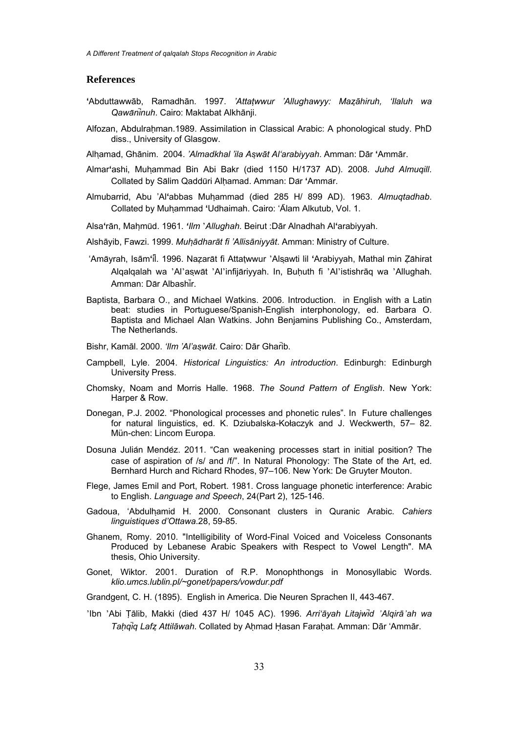*A Different Treatment of qalqalah Stops Recognition in Arabic* 

#### **References**

- **'**Abduttawwāb, Ramadhān. 1997. *'Attatwwur 'Allughawyy: Mazāhiruh, 'Ilaluh wa Qawaninuh*. Cairo: Maktabat Alkhānji.
- Alfozan, Abdulrahman.1989. Assimilation in Classical Arabic: A phonological study. PhD diss., University of Glasgow.
- Alhamad, Ghānim. 2004. *'Almadkhal 'ila Aswāt Al'arabiyyah*. Amman: Dār **'**Ammār.
- Almar**'**ashi, Muhammad Bin Abi Bakr (died 1150 H/1737 AD). 2008. *Juhd Almuqill*. Collated by Salim Qadduri Alhamad. Amman: Da r **'**Amma r.
- Almubarrid, Abu 'Al**'**abbas Muhammad (died 285 H/ 899 AD). 1963. *Almuqtadhab*. Collated by Muhammad **'**Udhaimah. Cairo: 'Alam Alkutub, Vol. 1.
- Alsa**'**rān, Mahmud. 1961. *'Ilm* '*Allughah*. Beirut :Dār Alnadhah Al**'**arabiyyah.
- Alshāyib, Fawzi. 1999. *Muhādharāt fi 'Allisāniyyāt*. Amman: Ministry of Culture.
- 'Amayrah, Isām**'**il. 1996. Nazarat fi Attatwwur 'Alsawti lil **'**Arabiyyah, Mathal min Zahirat Alqalqalah wa 'Al'aswat 'Al'infijariyyah. In, Buhuth fi 'Al'istishrāq wa 'Allughah. Amman: Dar Albashir.
- Baptista, Barbara O., and Michael Watkins. 2006. Introduction. in English with a Latin beat: studies in Portuguese/Spanish-English interphonology, ed. Barbara O. Baptista and Michael Alan Watkins. John Benjamins Publishing Co., Amsterdam, The Netherlands.
- Bishr, Kamāl. 2000. *'Ilm 'Al'aswāt*. Cairo: Dār Gharib.
- Campbell, Lyle. 2004. *Historical Linguistics: An introduction*. Edinburgh: Edinburgh University Press.
- Chomsky, Noam and Morris Halle. 1968. *The Sound Pattern of English*. New York: Harper & Row.
- Donegan, P.J. 2002. "Phonological processes and phonetic rules". In Future challenges for natural linguistics, ed. K. Dziubalska-Kołaczyk and J. Weckwerth, 57– 82. Mün-chen: Lincom Europa.
- Dosuna Julian Mendez. 2011. "Can weakening processes start in initial position? The case of aspiration of /s/ and /f/". In Natural Phonology: The State of the Art, ed. Bernhard Hurch and Richard Rhodes, 97–106. New York: De Gruyter Mouton.
- Flege, James Emil and Port, Robert. 1981. Cross language phonetic interference: Arabic to English. *Language and Speech*, 24(Part 2), 125-146.
- Gadoua, 'Abdulhamid H. 2000. Consonant clusters in Quranic Arabic. *Cahiers linguistiques d'Ottawa*.28, 59-85.
- Ghanem, Romy. 2010. "Intelligibility of Word-Final Voiced and Voiceless Consonants Produced by Lebanese Arabic Speakers with Respect to Vowel Length". MA thesis, Ohio University.
- Gonet, Wiktor. 2001. Duration of R.P. Monophthongs in Monosyllabic Words. *klio.umcs.lublin.pl/~gonet/papers/vowdur.pdf*
- Grandgent, C. H. (1895). English in America. Die Neuren Sprachen II, 443-467.
- 'Ibn 'Abi Ṭālib, Makki (died 437 H/ 1045 AC). 1996. *Arri'āyah Litajwid 'Alqirā'ah wa Taḥqiq Lafz Attilāwah*. Collated by Aḥmad Ḥasan Faraḥat. Amman: Dār 'Ammār.